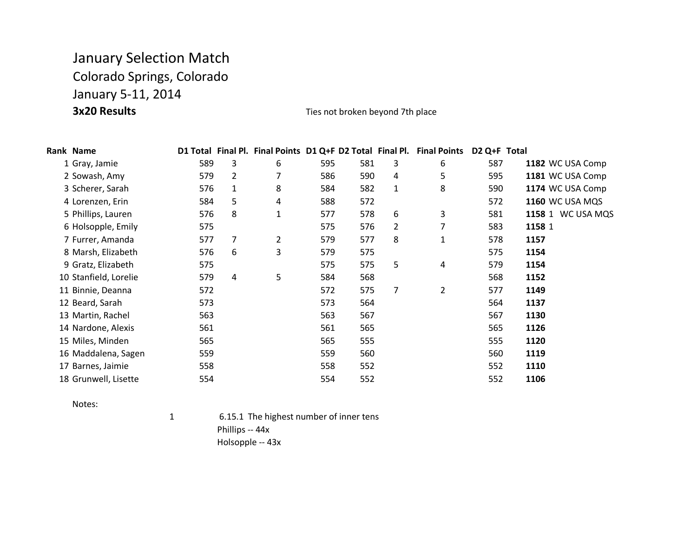## January Selection Match Colorado Springs, Colorado January 5-11, 2014 **3x20 Results** Ties not broken beyond 7th place

| Rank Name             |     |                |                |     |     |                | D1 Total Final Pl. Final Points D1 Q+F D2 Total Final Pl. Final Points | D <sub>2</sub> Q+F Total |                   |
|-----------------------|-----|----------------|----------------|-----|-----|----------------|------------------------------------------------------------------------|--------------------------|-------------------|
| 1 Gray, Jamie         | 589 | 3              | 6              | 595 | 581 | 3              | 6                                                                      | 587                      | 1182 WC USA Comp  |
| 2 Sowash, Amy         | 579 | $\overline{2}$ | 7              | 586 | 590 | $\overline{4}$ | 5                                                                      | 595                      | 1181 WC USA Comp  |
| 3 Scherer, Sarah      | 576 | $\mathbf{1}$   | 8              | 584 | 582 | $\mathbf{1}$   | 8                                                                      | 590                      | 1174 WC USA Comp  |
| 4 Lorenzen, Erin      | 584 | 5              | 4              | 588 | 572 |                |                                                                        | 572                      | 1160 WC USA MQS   |
| 5 Phillips, Lauren    | 576 | 8              | $\mathbf{1}$   | 577 | 578 | 6              | 3                                                                      | 581                      | 1158 1 WC USA MQS |
| 6 Holsopple, Emily    | 575 |                |                | 575 | 576 | $\overline{2}$ |                                                                        | 583                      | 1158 1            |
| 7 Furrer, Amanda      | 577 | 7              | $\overline{2}$ | 579 | 577 | 8              | 1                                                                      | 578                      | 1157              |
| 8 Marsh, Elizabeth    | 576 | 6              | 3              | 579 | 575 |                |                                                                        | 575                      | 1154              |
| 9 Gratz, Elizabeth    | 575 |                |                | 575 | 575 | 5              | 4                                                                      | 579                      | 1154              |
| 10 Stanfield, Lorelie | 579 | 4              | 5              | 584 | 568 |                |                                                                        | 568                      | 1152              |
| 11 Binnie, Deanna     | 572 |                |                | 572 | 575 | 7              | 2                                                                      | 577                      | 1149              |
| 12 Beard, Sarah       | 573 |                |                | 573 | 564 |                |                                                                        | 564                      | 1137              |
| 13 Martin, Rachel     | 563 |                |                | 563 | 567 |                |                                                                        | 567                      | 1130              |
| 14 Nardone, Alexis    | 561 |                |                | 561 | 565 |                |                                                                        | 565                      | 1126              |
| 15 Miles, Minden      | 565 |                |                | 565 | 555 |                |                                                                        | 555                      | 1120              |
| 16 Maddalena, Sagen   | 559 |                |                | 559 | 560 |                |                                                                        | 560                      | 1119              |
| 17 Barnes, Jaimie     | 558 |                |                | 558 | 552 |                |                                                                        | 552                      | 1110              |
| 18 Grunwell, Lisette  | 554 |                |                | 554 | 552 |                |                                                                        | 552                      | 1106              |

Notes:

1 6.15.1 The highest number of inner tens Phillips -- 44x Holsopple -- 43x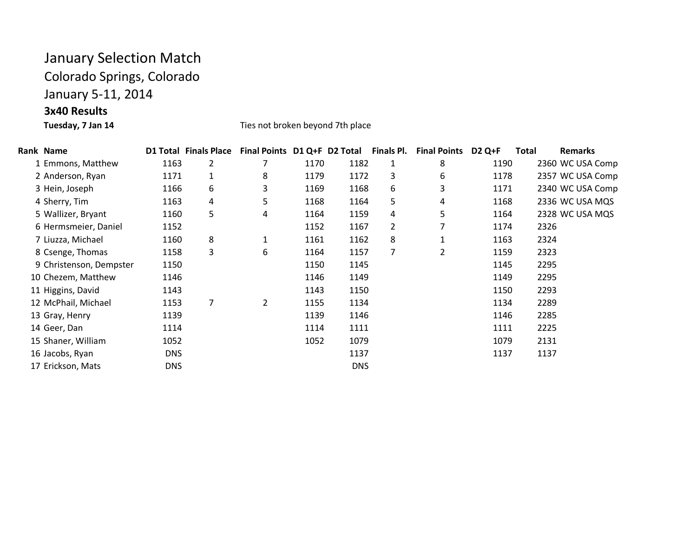## January Selection Match

Colorado Springs, Colorado

January 5-11, 2014

**3x40 Results**

Ties not broken beyond 7th place

| Rank Name               |            | <b>D1 Total Finals Place</b> | Final Points D1 Q+F D2 Total |      |            | Finals Pl.     | <b>Final Points</b> | <b>D2 Q+F</b> | Total | <b>Remarks</b>   |
|-------------------------|------------|------------------------------|------------------------------|------|------------|----------------|---------------------|---------------|-------|------------------|
| 1 Emmons, Matthew       | 1163       | 2                            |                              | 1170 | 1182       | 1              | 8                   | 1190          |       | 2360 WC USA Comp |
| 2 Anderson, Ryan        | 1171       | 1                            | 8                            | 1179 | 1172       | 3              | 6                   | 1178          |       | 2357 WC USA Comp |
| 3 Hein, Joseph          | 1166       | 6                            | 3                            | 1169 | 1168       | 6              | 3                   | 1171          |       | 2340 WC USA Comp |
| 4 Sherry, Tim           | 1163       | 4                            | 5                            | 1168 | 1164       | 5              | 4                   | 1168          |       | 2336 WC USA MQS  |
| 5 Wallizer, Bryant      | 1160       | 5                            | 4                            | 1164 | 1159       | 4              | 5                   | 1164          |       | 2328 WC USA MQS  |
| 6 Hermsmeier, Daniel    | 1152       |                              |                              | 1152 | 1167       | $\overline{2}$ | 7                   | 1174          | 2326  |                  |
| 7 Liuzza, Michael       | 1160       | 8                            | $\mathbf{1}$                 | 1161 | 1162       | 8              | 1                   | 1163          | 2324  |                  |
| 8 Csenge, Thomas        | 1158       | 3                            | 6                            | 1164 | 1157       | 7              | 2                   | 1159          | 2323  |                  |
| 9 Christenson, Dempster | 1150       |                              |                              | 1150 | 1145       |                |                     | 1145          | 2295  |                  |
| 10 Chezem, Matthew      | 1146       |                              |                              | 1146 | 1149       |                |                     | 1149          | 2295  |                  |
| 11 Higgins, David       | 1143       |                              |                              | 1143 | 1150       |                |                     | 1150          | 2293  |                  |
| 12 McPhail, Michael     | 1153       | 7                            | 2                            | 1155 | 1134       |                |                     | 1134          | 2289  |                  |
| 13 Gray, Henry          | 1139       |                              |                              | 1139 | 1146       |                |                     | 1146          | 2285  |                  |
| 14 Geer, Dan            | 1114       |                              |                              | 1114 | 1111       |                |                     | 1111          | 2225  |                  |
| 15 Shaner, William      | 1052       |                              |                              | 1052 | 1079       |                |                     | 1079          | 2131  |                  |
| 16 Jacobs, Ryan         | <b>DNS</b> |                              |                              |      | 1137       |                |                     | 1137          | 1137  |                  |
| 17 Erickson, Mats       | <b>DNS</b> |                              |                              |      | <b>DNS</b> |                |                     |               |       |                  |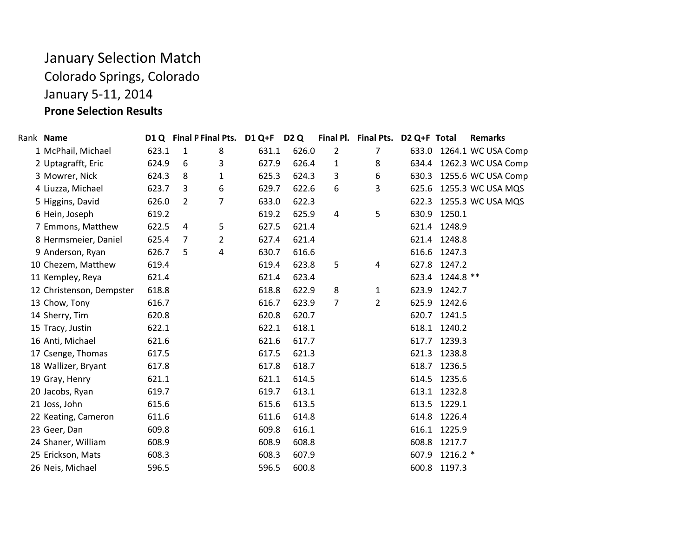## January Selection Match Colorado Springs, Colorado January 5-11, 2014 **Prone Selection Results**

| Rank Name                |       |                | D1 Q Final P Final Pts. | D1 Q+F D2 Q |       |                | Final Pl. Final Pts. D2 Q+F Total |       |              | <b>Remarks</b>           |
|--------------------------|-------|----------------|-------------------------|-------------|-------|----------------|-----------------------------------|-------|--------------|--------------------------|
| 1 McPhail, Michael       | 623.1 | $\mathbf{1}$   | 8                       | 631.1       | 626.0 | $\overline{2}$ | $\overline{7}$                    |       |              | 633.0 1264.1 WC USA Comp |
| 2 Uptagrafft, Eric       | 624.9 | 6              | 3                       | 627.9       | 626.4 | 1              | 8                                 |       |              | 634.4 1262.3 WC USA Comp |
| 3 Mowrer, Nick           | 624.3 | 8              | 1                       | 625.3       | 624.3 | 3              | 6                                 |       |              | 630.3 1255.6 WC USA Comp |
| 4 Liuzza, Michael        | 623.7 | 3              | 6                       | 629.7       | 622.6 | 6              | 3                                 |       |              | 625.6 1255.3 WC USA MQS  |
| 5 Higgins, David         | 626.0 | $\overline{2}$ | $\overline{7}$          | 633.0       | 622.3 |                |                                   |       |              | 622.3 1255.3 WC USA MQS  |
| 6 Hein, Joseph           | 619.2 |                |                         | 619.2       | 625.9 | 4              | 5                                 | 630.9 | 1250.1       |                          |
| 7 Emmons, Matthew        | 622.5 | $\overline{4}$ | 5                       | 627.5       | 621.4 |                |                                   |       | 621.4 1248.9 |                          |
| 8 Hermsmeier, Daniel     | 625.4 | 7              | 2                       | 627.4       | 621.4 |                |                                   |       | 621.4 1248.8 |                          |
| 9 Anderson, Ryan         | 626.7 | 5              | 4                       | 630.7       | 616.6 |                |                                   |       | 616.6 1247.3 |                          |
| 10 Chezem, Matthew       | 619.4 |                |                         | 619.4       | 623.8 | 5              | 4                                 | 627.8 | 1247.2       |                          |
| 11 Kempley, Reya         | 621.4 |                |                         | 621.4       | 623.4 |                |                                   | 623.4 | 1244.8 **    |                          |
| 12 Christenson, Dempster | 618.8 |                |                         | 618.8       | 622.9 | 8              | $\mathbf{1}$                      | 623.9 | 1242.7       |                          |
| 13 Chow, Tony            | 616.7 |                |                         | 616.7       | 623.9 | $\overline{7}$ | $\overline{2}$                    |       | 625.9 1242.6 |                          |
| 14 Sherry, Tim           | 620.8 |                |                         | 620.8       | 620.7 |                |                                   |       | 620.7 1241.5 |                          |
| 15 Tracy, Justin         | 622.1 |                |                         | 622.1       | 618.1 |                |                                   |       | 618.1 1240.2 |                          |
| 16 Anti, Michael         | 621.6 |                |                         | 621.6       | 617.7 |                |                                   | 617.7 | 1239.3       |                          |
| 17 Csenge, Thomas        | 617.5 |                |                         | 617.5       | 621.3 |                |                                   | 621.3 | 1238.8       |                          |
| 18 Wallizer, Bryant      | 617.8 |                |                         | 617.8       | 618.7 |                |                                   |       | 618.7 1236.5 |                          |
| 19 Gray, Henry           | 621.1 |                |                         | 621.1       | 614.5 |                |                                   | 614.5 | 1235.6       |                          |
| 20 Jacobs, Ryan          | 619.7 |                |                         | 619.7       | 613.1 |                |                                   |       | 613.1 1232.8 |                          |
| 21 Joss, John            | 615.6 |                |                         | 615.6       | 613.5 |                |                                   | 613.5 | 1229.1       |                          |
| 22 Keating, Cameron      | 611.6 |                |                         | 611.6       | 614.8 |                |                                   |       | 614.8 1226.4 |                          |
| 23 Geer, Dan             | 609.8 |                |                         | 609.8       | 616.1 |                |                                   |       | 616.1 1225.9 |                          |
| 24 Shaner, William       | 608.9 |                |                         | 608.9       | 608.8 |                |                                   | 608.8 | 1217.7       |                          |
| 25 Erickson, Mats        | 608.3 |                |                         | 608.3       | 607.9 |                |                                   | 607.9 | $1216.2*$    |                          |
| 26 Neis, Michael         | 596.5 |                |                         | 596.5       | 600.8 |                |                                   | 600.8 | 1197.3       |                          |